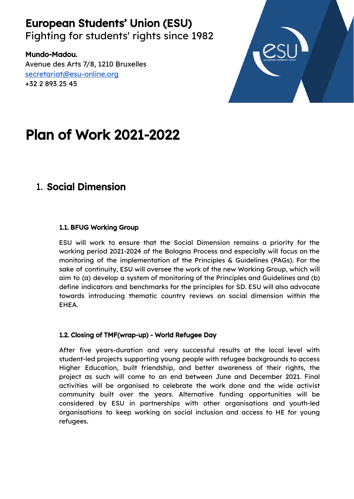European Students' Union (ESU) Fighting for students' rights since 1982

Mundo-Madou. Avenue des Arts 7/8, 1210 Bruxelles [secretariat@esu-online.org](mailto:secretariat@esu-online.org) +32 2 893 25 45



# Plan of Work 2021-2022

# 1. Social Dimension

#### 1.1. BFUG Working Group

ESU will work to ensure that the Social Dimension remains a priority for the working period 2021-2024 of the Bologna Process and especially will focus on the monitoring of the implementation of the Principles & Guidelines (PAGs). For the sake of continuity, ESU will oversee the work of the new Working Group, which will aim to (a) develop a system of monitoring of the Principles and Guidelines and (b) define indicators and benchmarks for the principles for SD. ESU will also advocate towards introducing thematic country reviews on social dimension within the EHEA.

#### 1.2. Closing of TMF(wrap-up) - World Refugee Day

After five years-duration and very successful results at the local level with student-led projects supporting young people with refugee backgrounds to access Higher Education, built friendship, and better awareness of their rights, the project as such will come to an end between June and December 2021. Final activities will be organised to celebrate the work done and the wide activist community built over the years. Alternative funding opportunities will be considered by ESU in partnerships with other organisations and youth-led organisations to keep working on social inclusion and access to HE for young refugees.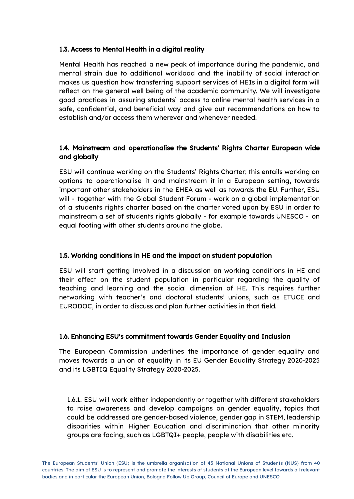#### 1.3. Access to Mental Health in a digital reality

Mental Health has reached a new peak of importance during the pandemic, and mental strain due to additional workload and the inability of social interaction makes us question how transferring support services of HEIs in a digital form will reflect on the general well being of the academic community. We will investigate good practices in assuring students` access to online mental health services in a safe, confidential, and beneficial way and give out recommendations on how to establish and/or access them wherever and whenever needed.

#### 1.4. Mainstream and operationalise the Students' Rights Charter European wide and globally

ESU will continue working on the Students' Rights Charter; this entails working on options to operationalise it and mainstream it in a European setting, towards important other stakeholders in the EHEA as well as towards the EU. Further, ESU will - together with the Global Student Forum - work on a global implementation of a students rights charter based on the charter voted upon by ESU in order to mainstream a set of students rights globally - for example towards UNESCO - on equal footing with other students around the globe.

#### 1.5. Working conditions in HE and the impact on student population

ESU will start getting involved in a discussion on working conditions in HE and their effect on the student population in particular regarding the quality of teaching and learning and the social dimension of HE. This requires further networking with teacher's and doctoral students' unions, such as ETUCE and EURODOC, in order to discuss and plan further activities in that field.

#### 1.6. Enhancing ESU's commitment towards Gender Equality and Inclusion

The European Commission underlines the importance of gender equality and moves towards a union of equality in its EU Gender Equality Strategy 2020-2025 and its LGBTIQ Equality Strategy 2020-2025.

1.6.1. ESU will work either independently or together with different stakeholders to raise awareness and develop campaigns on gender equality, topics that could be addressed are gender-based violence, gender gap in STEM, leadership disparities within Higher Education and discrimination that other minority groups are facing, such as LGBTQI+ people, people with disabilities etc.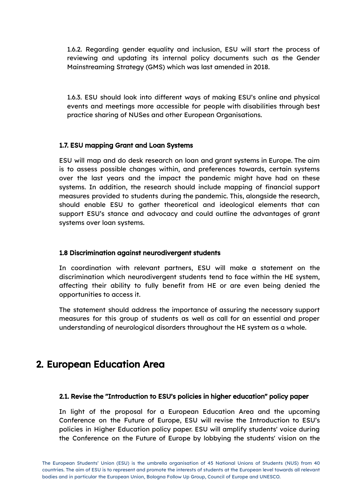1.6.2. Regarding gender equality and inclusion, ESU will start the process of reviewing and updating its internal policy documents such as the Gender Mainstreaming Strategy (GMS) which was last amended in 2018.

1.6.3. ESU should look into different ways of making ESU's online and physical events and meetings more accessible for people with disabilities through best practice sharing of NUSes and other European Organisations.

#### 1.7. ESU mapping Grant and Loan Systems

ESU will map and do desk research on loan and grant systems in Europe. The aim is to assess possible changes within, and preferences towards, certain systems over the last years and the impact the pandemic might have had on these systems. In addition, the research should include mapping of financial support measures provided to students during the pandemic. This, alongside the research, should enable ESU to gather theoretical and ideological elements that can support ESU's stance and advocacy and could outline the advantages of grant systems over loan systems.

#### 1.8 Discrimination against neurodivergent students

In coordination with relevant partners, ESU will make a statement on the discrimination which neurodivergent students tend to face within the HE system, affecting their ability to fully benefit from HE or are even being denied the opportunities to access it.

The statement should address the importance of assuring the necessary support measures for this group of students as well as call for an essential and proper understanding of neurological disorders throughout the HE system as a whole.

## 2. European Education Area

#### 2.1. Revise the "Introduction to ESU's policies in higher education" policy paper

In light of the proposal for a European Education Area and the upcoming Conference on the Future of Europe, ESU will revise the Introduction to ESU's policies in Higher Education policy paper. ESU will amplify students' voice during the Conference on the Future of Europe by lobbying the students' vision on the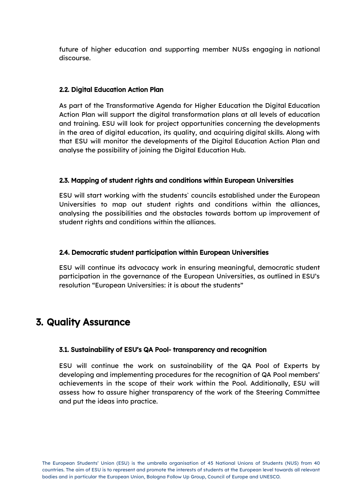future of higher education and supporting member NUSs engaging in national discourse.

#### 2.2. Digital Education Action Plan

As part of the Transformative Agenda for Higher Education the Digital Education Action Plan will support the digital transformation plans at all levels of education and training. ESU will look for project opportunities concerning the developments in the area of digital education, its quality, and acquiring digital skills. Along with that ESU will monitor the developments of the Digital Education Action Plan and analyse the possibility of joining the Digital Education Hub.

#### 2.3. Mapping of student rights and conditions within European Universities

ESU will start working with the students` councils established under the European Universities to map out student rights and conditions within the alliances, analysing the possibilities and the obstacles towards bottom up improvement of student rights and conditions within the alliances.

#### 2.4. Democratic student participation within European Universities

ESU will continue its advocacy work in ensuring meaningful, democratic student participation in the governance of the European Universities, as outlined in ESU's resolution "European Universities: it is about the students"

## 3. Quality Assurance

#### 3.1. Sustainability of ESU's QA Pool- transparency and recognition

ESU will continue the work on sustainability of the QA Pool of Experts by developing and implementing procedures for the recognition of QA Pool members' achievements in the scope of their work within the Pool. Additionally, ESU will assess how to assure higher transparency of the work of the Steering Committee and put the ideas into practice.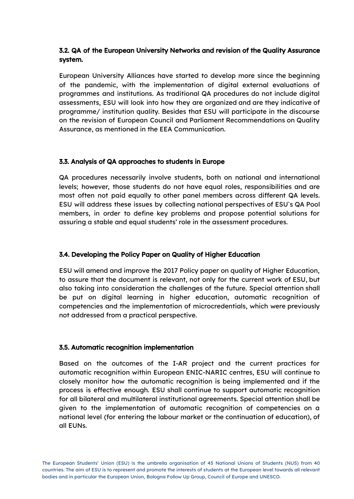#### 3.2. QA of the European University Networks and revision of the Quality Assurance system.

European University Alliances have started to develop more since the beginning of the pandemic, with the implementation of digital external evaluations of programmes and institutions. As traditional QA procedures do not include digital assessments, ESU will look into how they are organized and are they indicative of programme/ institution quality. Besides that ESU will participate in the discourse on the revision of European Council and Parliament Recommendations on Quality Assurance, as mentioned in the EEA Communication.

#### 3.3. Analysis of QA approaches to students in Europe

QA procedures necessarily involve students, both on national and international levels; however, those students do not have equal roles, responsibilities and are most often not paid equally to other panel members across different QA levels. ESU will address these issues by collecting national perspectives of ESU`s QA Pool members, in order to define key problems and propose potential solutions for assuring a stable and equal students' role in the assessment procedures.

#### 3.4. Developing the Policy Paper on Quality of Higher Education

ESU will amend and improve the 2017 Policy paper on quality of Higher Education, to assure that the document is relevant, not only for the current work of ESU, but also taking into consideration the challenges of the future. Special attention shall be put on digital learning in higher education, automatic recognition of competencies and the implementation of microcredentials, which were previously not addressed from a practical perspective.

#### 3.5. Automatic recognition implementation

Based on the outcomes of the I-AR project and the current practices for automatic recognition within European ENIC-NARIC centres, ESU will continue to closely monitor how the automatic recognition is being implemented and if the process is effective enough. ESU shall continue to support automatic recognition for all bilateral and multilateral institutional agreements. Special attention shall be given to the implementation of automatic recognition of competencies on a national level (for entering the labour market or the continuation of education), of all EUNs.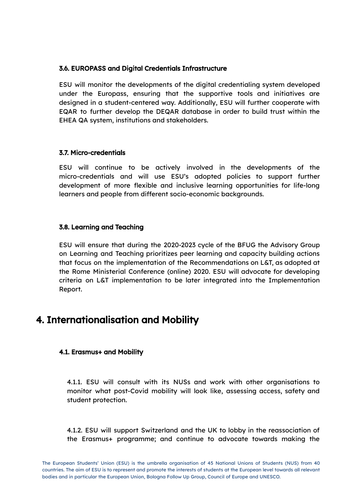#### 3.6. EUROPASS and Digital Credentials Infrastructure

ESU will monitor the developments of the digital credentialing system developed under the Europass, ensuring that the supportive tools and initiatives are designed in a student-centered way. Additionally, ESU will further cooperate with EQAR to further develop the DEQAR database in order to build trust within the EHEA QA system, institutions and stakeholders.

#### 3.7. Micro-credentials

ESU will continue to be actively involved in the developments of the micro-credentials and will use ESU's adopted policies to support further development of more flexible and inclusive learning opportunities for life-long learners and people from different socio-economic backgrounds.

#### 3.8. Learning and Teaching

ESU will ensure that during the 2020-2023 cycle of the BFUG the Advisory Group on Learning and Teaching prioritizes peer learning and capacity building actions that focus on the implementation of the Recommendations on L&T, as adopted at the Rome Ministerial Conference (online) 2020. ESU will advocate for developing criteria on L&T implementation to be later integrated into the Implementation Report.

### 4. Internationalisation and Mobility

#### 4.1. Erasmus+ and Mobility

4.1.1. ESU will consult with its NUSs and work with other organisations to monitor what post-Covid mobility will look like, assessing access, safety and student protection.

4.1.2. ESU will support Switzerland and the UK to lobby in the reassociation of the Erasmus+ programme; and continue to advocate towards making the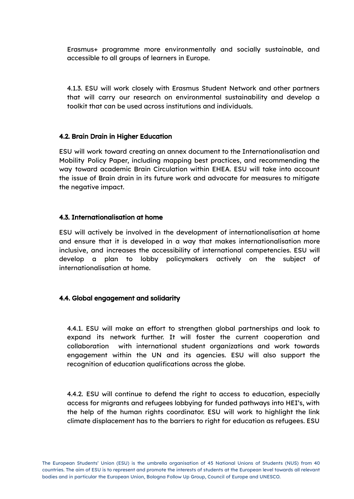Erasmus+ programme more environmentally and socially sustainable, and accessible to all groups of learners in Europe.

4.1.3. ESU will work closely with Erasmus Student Network and other partners that will carry our research on environmental sustainability and develop a toolkit that can be used across institutions and individuals.

#### 4.2. Brain Drain in Higher Education

ESU will work toward creating an annex document to the Internationalisation and Mobility Policy Paper, including mapping best practices, and recommending the way toward academic Brain Circulation within EHEA. ESU will take into account the issue of Brain drain in its future work and advocate for measures to mitigate the negative impact.

#### 4.3. Internationalisation at home

ESU will actively be involved in the development of internationalisation at home and ensure that it is developed in a way that makes internationalisation more inclusive, and increases the accessibility of international competencies. ESU will develop a plan to lobby policymakers actively on the subject of internationalisation at home.

#### 4.4. Global engagement and solidarity

4.4.1. ESU will make an effort to strengthen global partnerships and look to expand its network further. It will foster the current cooperation and collaboration with international student organizations and work towards engagement within the UN and its agencies. ESU will also support the recognition of education qualifications across the globe.

4.4.2. ESU will continue to defend the right to access to education, especially access for migrants and refugees lobbying for funded pathways into HEI's, with the help of the human rights coordinator. ESU will work to highlight the link climate displacement has to the barriers to right for education as refugees. ESU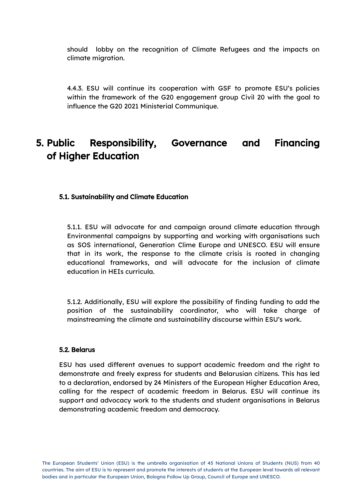should lobby on the recognition of Climate Refugees and the impacts on climate migration.

4.4.3. ESU will continue its cooperation with GSF to promote ESU's policies within the framework of the G20 engagement group Civil 20 with the goal to influence the G20 2021 Ministerial Communique.

# 5. Public Responsibility, Governance and Financing of Higher Education

#### 5.1. Sustainability and Climate Education

5.1.1. ESU will advocate for and campaign around climate education through Environmental campaigns by supporting and working with organisations such as SOS international, Generation Clime Europe and UNESCO. ESU will ensure that in its work, the response to the climate crisis is rooted in changing educational frameworks, and will advocate for the inclusion of climate education in HEIs curricula.

5.1.2. Additionally, ESU will explore the possibility of finding funding to add the position of the sustainability coordinator, who will take charge of mainstreaming the climate and sustainability discourse within ESU's work.

#### 5.2. Belarus

ESU has used different avenues to support academic freedom and the right to demonstrate and freely express for students and Belarusian citizens. This has led to a declaration, endorsed by 24 Ministers of the European Higher Education Area, calling for the respect of academic freedom in Belarus. ESU will continue its support and advocacy work to the students and student organisations in Belarus demonstrating academic freedom and democracy.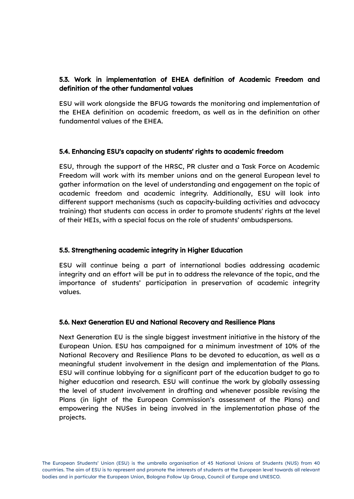#### 5.3. Work in implementation of EHEA definition of Academic Freedom and definition of the other fundamental values

ESU will work alongside the BFUG towards the monitoring and implementation of the EHEA definition on academic freedom, as well as in the definition on other fundamental values of the EHEA.

#### 5.4. Enhancing ESU's capacity on students' rights to academic freedom

ESU, through the support of the HRSC, PR cluster and a Task Force on Academic Freedom will work with its member unions and on the general European level to gather information on the level of understanding and engagement on the topic of academic freedom and academic integrity. Additionally, ESU will look into different support mechanisms (such as capacity-building activities and advocacy training) that students can access in order to promote students' rights at the level of their HEIs, with a special focus on the role of students' ombudspersons.

#### 5.5. Strengthening academic integrity in Higher Education

ESU will continue being a part of international bodies addressing academic integrity and an effort will be put in to address the relevance of the topic, and the importance of students' participation in preservation of academic integrity values.

#### 5.6. Next Generation EU and National Recovery and Resilience Plans

Next Generation EU is the single biggest investment initiative in the history of the European Union. ESU has campaigned for a minimum investment of 10% of the National Recovery and Resilience Plans to be devoted to education, as well as a meaningful student involvement in the design and implementation of the Plans. ESU will continue lobbying for a significant part of the education budget to go to higher education and research. ESU will continue the work by globally assessing the level of student involvement in drafting and whenever possible revising the Plans (in light of the European Commission's assessment of the Plans) and empowering the NUSes in being involved in the implementation phase of the projects.